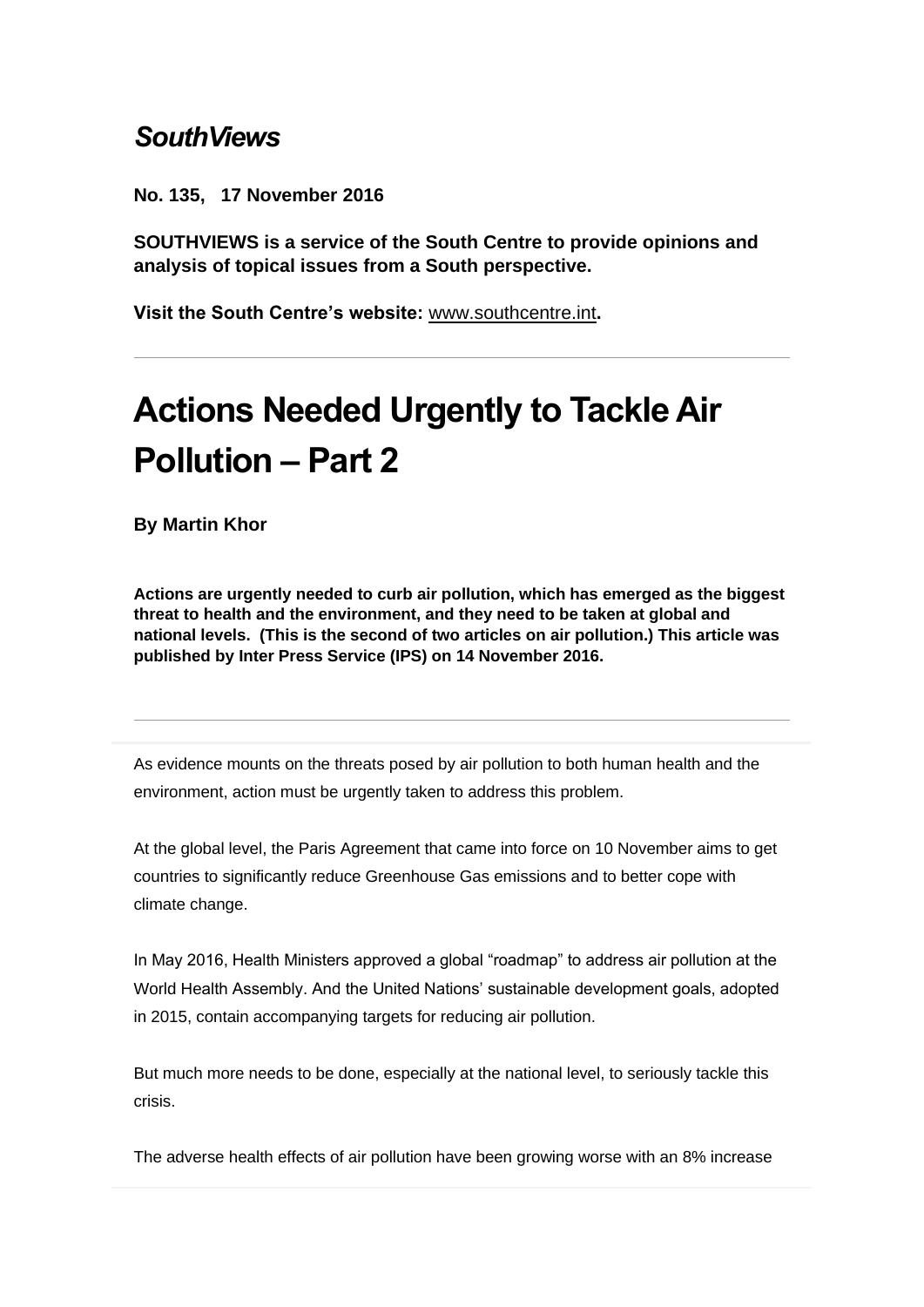## *SouthViews*

**No. 135, 17 November 2016**

**SOUTHVIEWS is a service of the South Centre to provide opinions and analysis of topical issues from a South perspective.**

**Visit the South Centre's website:** [www.southcentre.int](http://southcentre.us5.list-manage1.com/track/click?u=fa9cf38799136b5660f367ba6&id=f8d13dd7ba&e=0ba6f79724)**.**

## **Actions Needed Urgently to Tackle Air Pollution – Part 2**

**By Martin Khor**

**Actions are urgently needed to curb air pollution, which has emerged as the biggest threat to health and the environment, and they need to be taken at global and national levels. (This is the second of two articles on air pollution.) This article was published by Inter Press Service (IPS) on 14 November 2016.** 

As evidence mounts on the threats posed by air pollution to both human health and the environment, action must be urgently taken to address this problem.

At the global level, the Paris Agreement that came into force on 10 November aims to get countries to significantly reduce Greenhouse Gas emissions and to better cope with climate change.

In May 2016, Health Ministers approved a global "roadmap" to address air pollution at the World Health Assembly. And the United Nations' sustainable development goals, adopted in 2015, contain accompanying targets for reducing air pollution.

But much more needs to be done, especially at the national level, to seriously tackle this crisis.

The adverse health effects of air pollution have been growing worse with an 8% increase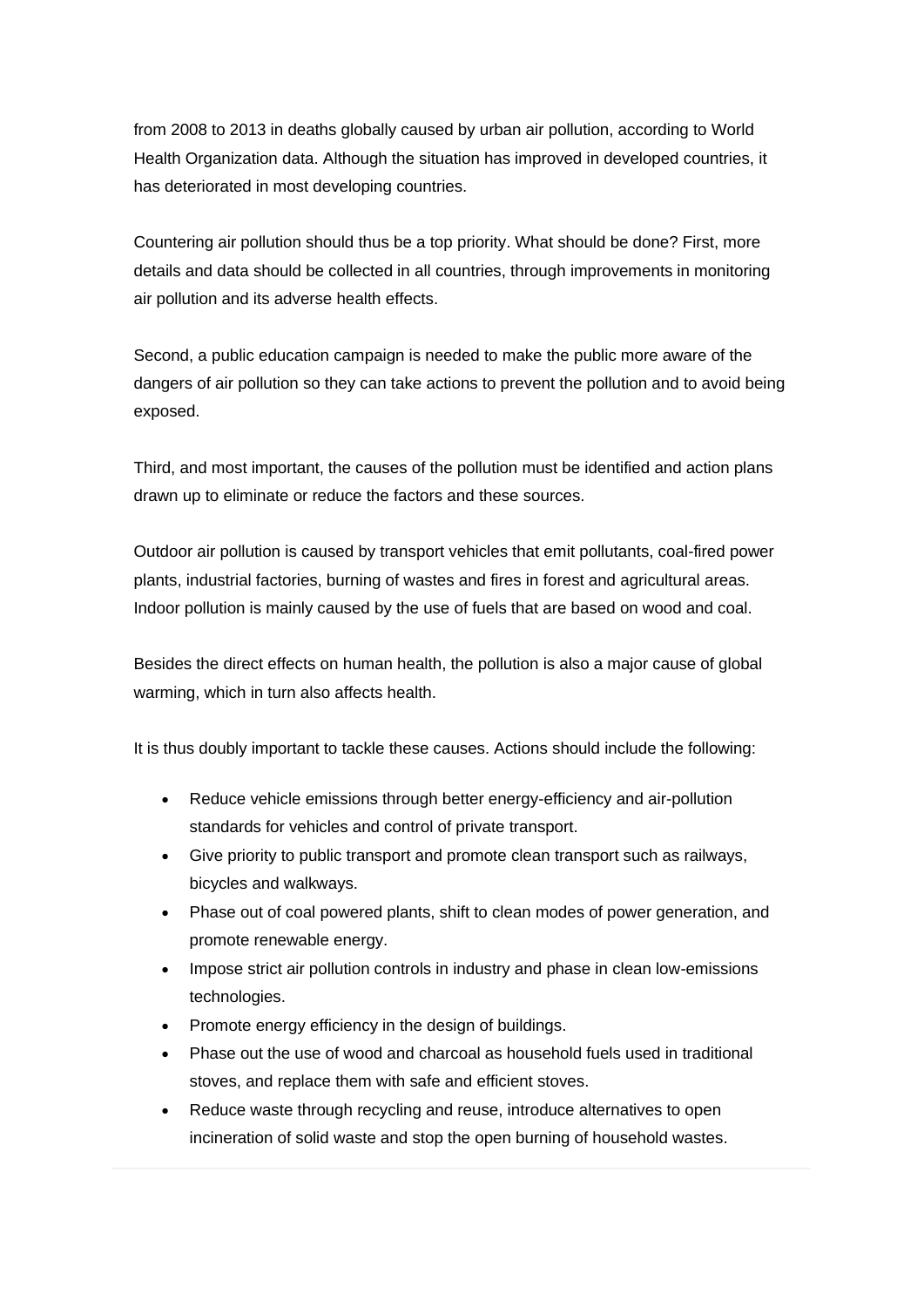from 2008 to 2013 in deaths globally caused by urban air pollution, according to World Health Organization data. Although the situation has improved in developed countries, it has deteriorated in most developing countries.

Countering air pollution should thus be a top priority. What should be done? First, more details and data should be collected in all countries, through improvements in monitoring air pollution and its adverse health effects.

Second, a public education campaign is needed to make the public more aware of the dangers of air pollution so they can take actions to prevent the pollution and to avoid being exposed.

Third, and most important, the causes of the pollution must be identified and action plans drawn up to eliminate or reduce the factors and these sources.

Outdoor air pollution is caused by transport vehicles that emit pollutants, coal-fired power plants, industrial factories, burning of wastes and fires in forest and agricultural areas. Indoor pollution is mainly caused by the use of fuels that are based on wood and coal.

Besides the direct effects on human health, the pollution is also a major cause of global warming, which in turn also affects health.

It is thus doubly important to tackle these causes. Actions should include the following:

- Reduce vehicle emissions through better energy-efficiency and air-pollution standards for vehicles and control of private transport.
- Give priority to public transport and promote clean transport such as railways, bicycles and walkways.
- Phase out of coal powered plants, shift to clean modes of power generation, and promote renewable energy.
- Impose strict air pollution controls in industry and phase in clean low-emissions technologies.
- Promote energy efficiency in the design of buildings.
- Phase out the use of wood and charcoal as household fuels used in traditional stoves, and replace them with safe and efficient stoves.
- Reduce waste through recycling and reuse, introduce alternatives to open incineration of solid waste and stop the open burning of household wastes.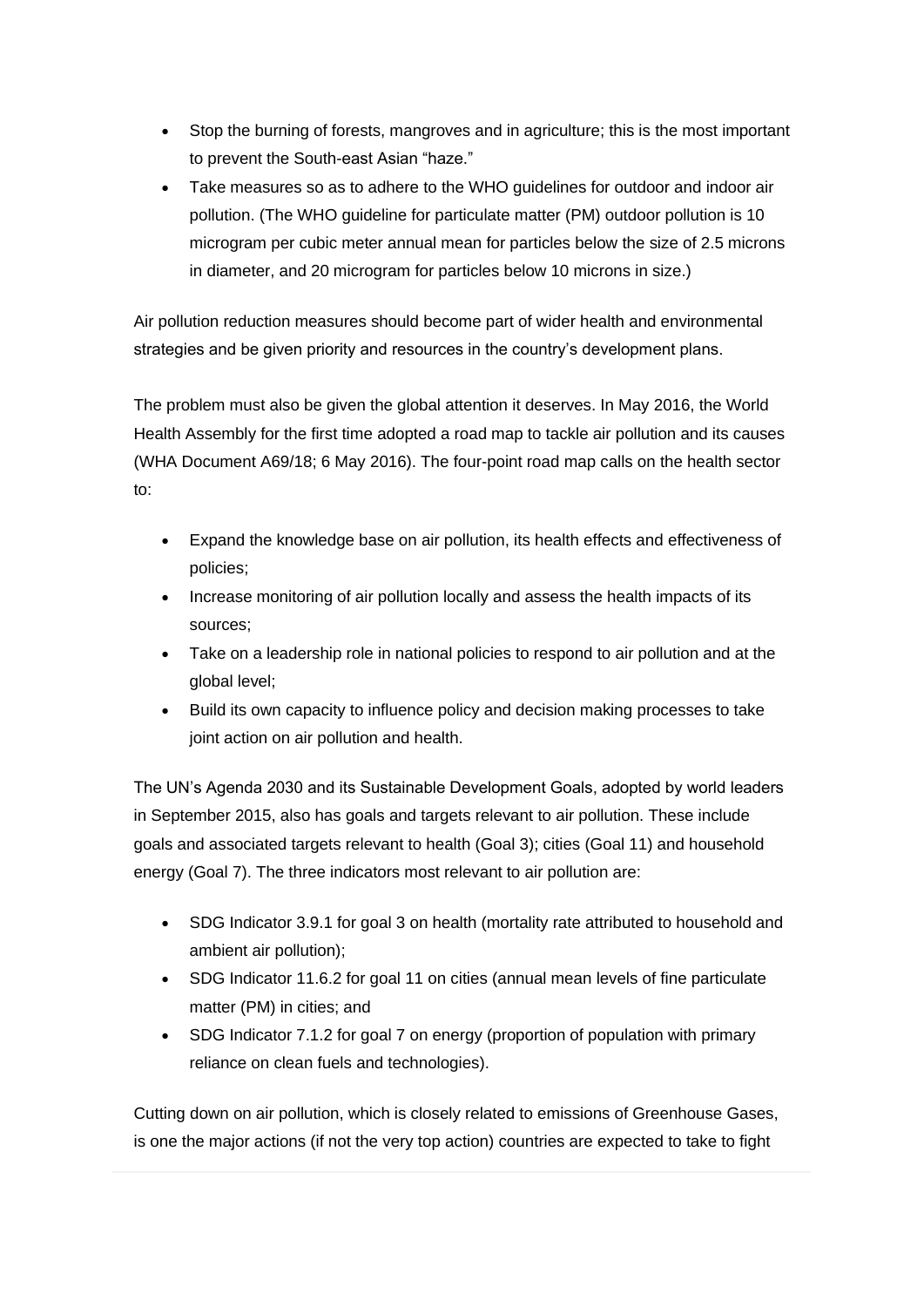- Stop the burning of forests, mangroves and in agriculture; this is the most important to prevent the South-east Asian "haze."
- Take measures so as to adhere to the WHO guidelines for outdoor and indoor air pollution. (The WHO guideline for particulate matter (PM) outdoor pollution is 10 microgram per cubic meter annual mean for particles below the size of 2.5 microns in diameter, and 20 microgram for particles below 10 microns in size.)

Air pollution reduction measures should become part of wider health and environmental strategies and be given priority and resources in the country's development plans.

The problem must also be given the global attention it deserves. In May 2016, the World Health Assembly for the first time adopted a road map to tackle air pollution and its causes (WHA Document A69/18; 6 May 2016). The four-point road map calls on the health sector to:

- Expand the knowledge base on air pollution, its health effects and effectiveness of policies;
- Increase monitoring of air pollution locally and assess the health impacts of its sources;
- Take on a leadership role in national policies to respond to air pollution and at the global level;
- Build its own capacity to influence policy and decision making processes to take joint action on air pollution and health.

The UN's Agenda 2030 and its Sustainable Development Goals, adopted by world leaders in September 2015, also has goals and targets relevant to air pollution. These include goals and associated targets relevant to health (Goal 3); cities (Goal 11) and household energy (Goal 7). The three indicators most relevant to air pollution are:

- SDG Indicator 3.9.1 for goal 3 on health (mortality rate attributed to household and ambient air pollution);
- SDG Indicator 11.6.2 for goal 11 on cities (annual mean levels of fine particulate matter (PM) in cities; and
- SDG Indicator 7.1.2 for goal 7 on energy (proportion of population with primary reliance on clean fuels and technologies).

Cutting down on air pollution, which is closely related to emissions of Greenhouse Gases, is one the major actions (if not the very top action) countries are expected to take to fight